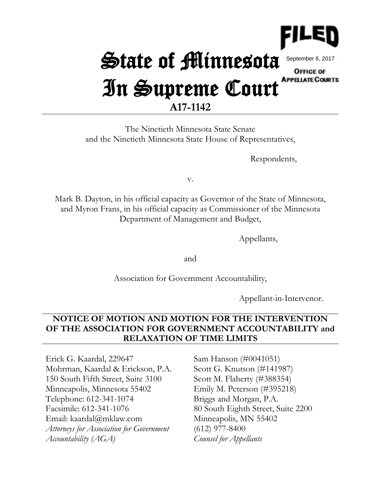

# State of Minnesota September 6, 2017**OFFICE OF** In Supreme Court APPELATE COURTS

## **A17-1142**

The Ninetieth Minnesota State Senate and the Ninetieth Minnesota State House of Representatives,

Respondents,

v.

Mark B. Dayton, in his official capacity as Governor of the State of Minnesota, and Myron Frans, in his official capacity as Commissioner of the Minnesota Department of Management and Budget,

Appellants,

and

Association for Government Accountability,

Appellant-in-Intervenor.

### **NOTICE OF MOTION AND MOTION FOR THE INTERVENTION OF THE ASSOCIATION FOR GOVERNMENT ACCOUNTABILITY and RELAXATION OF TIME LIMITS**

Erick G. Kaardal, 229647 Mohrman, Kaardal & Erickson, P.A. 150 South Fifth Street, Suite 3100 Minneapolis, Minnesota 55402 Telephone: 612-341-1074 Facsimile: 612-341-1076 Email: kaardal@mklaw.com *Attorneys for Association for Government Accountability (AGA)*

Sam Hanson (#0041051) Scott G. Knutson (#141987) Scott M. Flaherty (#388354) Emily M. Peterson (#395218) Briggs and Morgan, P.A. 80 South Eighth Street, Suite 2200 Minneapolis, MN 55402 (612) 977-8400 *Counsel for Appellants*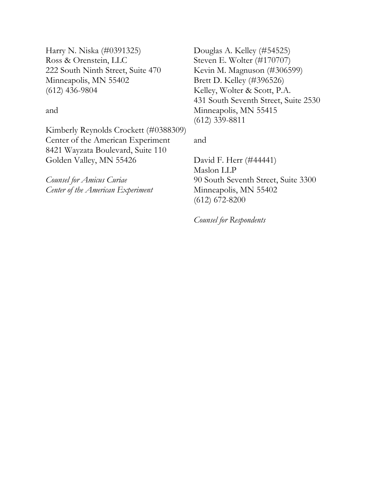Harry N. Niska (#0391325) Ross & Orenstein, LLC 222 South Ninth Street, Suite 470 Minneapolis, MN 55402 (612) 436-9804

and

Kimberly Reynolds Crockett (#0388309) Center of the American Experiment 8421 Wayzata Boulevard, Suite 110 Golden Valley, MN 55426

*Counsel for Amicus Curiae Center of the American Experiment* Douglas A. Kelley (#54525) Steven E. Wolter (#170707) Kevin M. Magnuson (#306599) Brett D. Kelley (#396526) Kelley, Wolter & Scott, P.A. 431 South Seventh Street, Suite 2530 Minneapolis, MN 55415 (612) 339-8811

and

David F. Herr (#44441) Maslon LLP 90 South Seventh Street, Suite 3300 Minneapolis, MN 55402 (612) 672-8200

*Counsel for Respondents*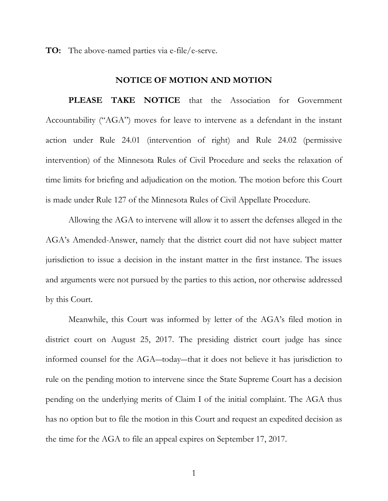**TO:** The above-named parties via e-file/e-serve.

#### **NOTICE OF MOTION AND MOTION**

**PLEASE TAKE NOTICE** that the Association for Government Accountability ("AGA") moves for leave to intervene as a defendant in the instant action under Rule 24.01 (intervention of right) and Rule 24.02 (permissive intervention) of the Minnesota Rules of Civil Procedure and seeks the relaxation of time limits for briefing and adjudication on the motion. The motion before this Court is made under Rule 127 of the Minnesota Rules of Civil Appellate Procedure.

Allowing the AGA to intervene will allow it to assert the defenses alleged in the AGA's Amended-Answer, namely that the district court did not have subject matter jurisdiction to issue a decision in the instant matter in the first instance. The issues and arguments were not pursued by the parties to this action, nor otherwise addressed by this Court.

Meanwhile, this Court was informed by letter of the AGA's filed motion in district court on August 25, 2017. The presiding district court judge has since informed counsel for the AGA―today―that it does not believe it has jurisdiction to rule on the pending motion to intervene since the State Supreme Court has a decision pending on the underlying merits of Claim I of the initial complaint. The AGA thus has no option but to file the motion in this Court and request an expedited decision as the time for the AGA to file an appeal expires on September 17, 2017.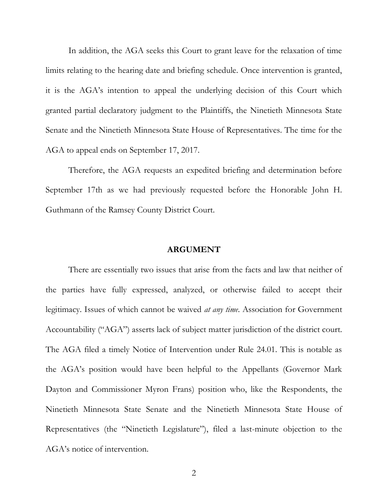In addition, the AGA seeks this Court to grant leave for the relaxation of time limits relating to the hearing date and briefing schedule. Once intervention is granted, it is the AGA's intention to appeal the underlying decision of this Court which granted partial declaratory judgment to the Plaintiffs, the Ninetieth Minnesota State Senate and the Ninetieth Minnesota State House of Representatives. The time for the AGA to appeal ends on September 17, 2017.

Therefore, the AGA requests an expedited briefing and determination before September 17th as we had previously requested before the Honorable John H. Guthmann of the Ramsey County District Court.

#### **ARGUMENT**

There are essentially two issues that arise from the facts and law that neither of the parties have fully expressed, analyzed, or otherwise failed to accept their legitimacy. Issues of which cannot be waived *at any time*. Association for Government Accountability ("AGA") asserts lack of subject matter jurisdiction of the district court. The AGA filed a timely Notice of Intervention under Rule 24.01. This is notable as the AGA's position would have been helpful to the Appellants (Governor Mark Dayton and Commissioner Myron Frans) position who, like the Respondents, the Ninetieth Minnesota State Senate and the Ninetieth Minnesota State House of Representatives (the "Ninetieth Legislature"), filed a last-minute objection to the AGA's notice of intervention.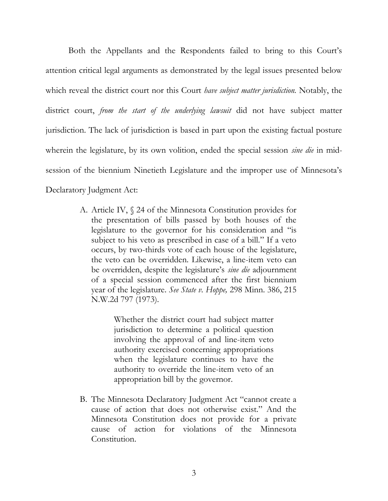Both the Appellants and the Respondents failed to bring to this Court's attention critical legal arguments as demonstrated by the legal issues presented below which reveal the district court nor this Court *have subject matter jurisdiction.* Notably, the district court, *from the start of the underlying lawsuit* did not have subject matter jurisdiction. The lack of jurisdiction is based in part upon the existing factual posture wherein the legislature, by its own volition, ended the special session *sine die* in midsession of the biennium Ninetieth Legislature and the improper use of Minnesota's Declaratory Judgment Act:

> A. Article IV, § 24 of the Minnesota Constitution provides for the presentation of bills passed by both houses of the legislature to the governor for his consideration and "is subject to his veto as prescribed in case of a bill." If a veto occurs, by two-thirds vote of each house of the legislature, the veto can be overridden. Likewise, a line-item veto can be overridden, despite the legislature's *sine die* adjournment of a special session commenced after the first biennium year of the legislature. *See State v. Hoppe,* 298 Minn. 386, 215 N.W.2d 797 (1973).

> > Whether the district court had subject matter jurisdiction to determine a political question involving the approval of and line-item veto authority exercised concerning appropriations when the legislature continues to have the authority to override the line-item veto of an appropriation bill by the governor.

B. The Minnesota Declaratory Judgment Act "cannot create a cause of action that does not otherwise exist." And the Minnesota Constitution does not provide for a private cause of action for violations of the Minnesota Constitution.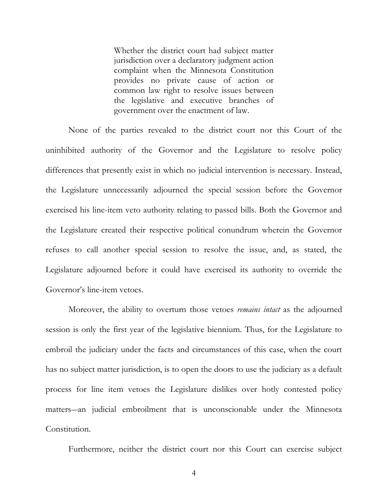Whether the district court had subject matter jurisdiction over a declaratory judgment action complaint when the Minnesota Constitution provides no private cause of action or common law right to resolve issues between the legislative and executive branches of government over the enactment of law.

None of the parties revealed to the district court nor this Court of the uninhibited authority of the Governor and the Legislature to resolve policy differences that presently exist in which no judicial intervention is necessary. Instead, the Legislature unnecessarily adjourned the special session before the Governor exercised his line-item veto authority relating to passed bills. Both the Governor and the Legislature created their respective political conundrum wherein the Governor refuses to call another special session to resolve the issue, and, as stated, the Legislature adjourned before it could have exercised its authority to override the Governor's line-item vetoes.

Moreover, the ability to overturn those vetoes *remains intact* as the adjourned session is only the first year of the legislative biennium. Thus, for the Legislature to embroil the judiciary under the facts and circumstances of this case, when the court has no subject matter jurisdiction, is to open the doors to use the judiciary as a default process for line item vetoes the Legislature dislikes over hotly contested policy matters―an judicial embroilment that is unconscionable under the Minnesota Constitution.

Furthermore, neither the district court nor this Court can exercise subject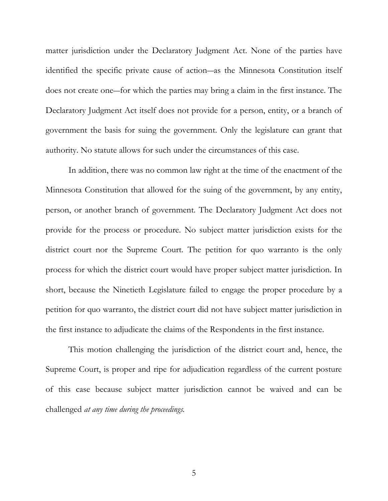matter jurisdiction under the Declaratory Judgment Act. None of the parties have identified the specific private cause of action―as the Minnesota Constitution itself does not create one―for which the parties may bring a claim in the first instance. The Declaratory Judgment Act itself does not provide for a person, entity, or a branch of government the basis for suing the government. Only the legislature can grant that authority. No statute allows for such under the circumstances of this case.

In addition, there was no common law right at the time of the enactment of the Minnesota Constitution that allowed for the suing of the government, by any entity, person, or another branch of government. The Declaratory Judgment Act does not provide for the process or procedure. No subject matter jurisdiction exists for the district court nor the Supreme Court. The petition for quo warranto is the only process for which the district court would have proper subject matter jurisdiction. In short, because the Ninetieth Legislature failed to engage the proper procedure by a petition for quo warranto, the district court did not have subject matter jurisdiction in the first instance to adjudicate the claims of the Respondents in the first instance.

This motion challenging the jurisdiction of the district court and, hence, the Supreme Court, is proper and ripe for adjudication regardless of the current posture of this case because subject matter jurisdiction cannot be waived and can be challenged *at any time during the proceedings.*